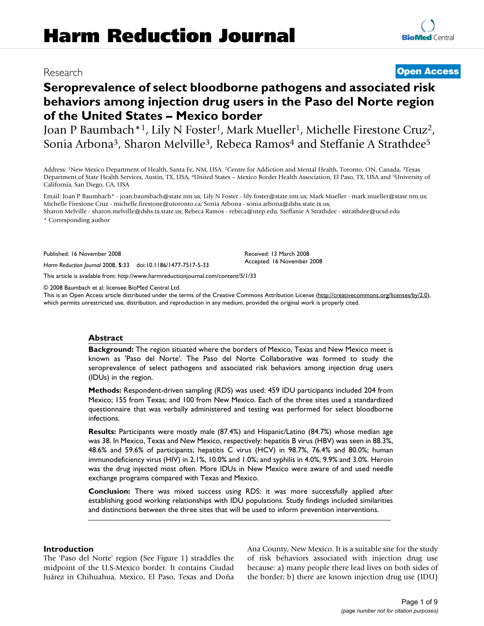# Research **[Open Access](http://www.biomedcentral.com/info/about/charter/)**

# **Seroprevalence of select bloodborne pathogens and associated risk behaviors among injection drug users in the Paso del Norte region of the United States – Mexico border**

Joan P Baumbach<sup>\*1</sup>, Lily N Foster<sup>1</sup>, Mark Mueller<sup>1</sup>, Michelle Firestone Cruz<sup>2</sup>, Sonia Arbona<sup>3</sup>, Sharon Melville<sup>3</sup>, Rebeca Ramos<sup>4</sup> and Steffanie A Strathdee<sup>5</sup>

Address: 1New Mexico Department of Health, Santa Fe, NM, USA, 2Centre for Addiction and Mental Health, Toronto, ON, Canada, 3Texas Department of State Health Services, Austin, TX, USA, 4United States – Mexico Border Health Association, El Paso, TX, USA and 5University of California, San Diego, CA, USA

Email: Joan P Baumbach\* - joan.baumbach@state.nm.us; Lily N Foster - lily.foster@state.nm.us; Mark Mueller - mark.mueller@state.nm.us; Michelle Firestone Cruz - michelle.firestone@utoronto.ca; Sonia Arbona - sonia.arbona@dshs.state.tx.us; Sharon Melville - sharon.melville@dshs.tx.state.us; Rebeca Ramos - rebeca@utep.edu; Steffanie A Strathdee - sstrathdee@ucsd.edu

\* Corresponding author

Published: 16 November 2008

*Harm Reduction Journal* 2008, **5**:33 doi:10.1186/1477-7517-5-33

[This article is available from: http://www.harmreductionjournal.com/content/5/1/33](http://www.harmreductionjournal.com/content/5/1/33)

© 2008 Baumbach et al; licensee BioMed Central Ltd.

This is an Open Access article distributed under the terms of the Creative Commons Attribution License [\(http://creativecommons.org/licenses/by/2.0\)](http://creativecommons.org/licenses/by/2.0), which permits unrestricted use, distribution, and reproduction in any medium, provided the original work is properly cited.

Received: 13 March 2008 Accepted: 16 November 2008

#### **Abstract**

**Background:** The region situated where the borders of Mexico, Texas and New Mexico meet is known as 'Paso del Norte'. The Paso del Norte Collaborative was formed to study the seroprevalence of select pathogens and associated risk behaviors among injection drug users (IDUs) in the region.

**Methods:** Respondent-driven sampling (RDS) was used: 459 IDU participants included 204 from Mexico; 155 from Texas; and 100 from New Mexico. Each of the three sites used a standardized questionnaire that was verbally administered and testing was performed for select bloodborne infections.

**Results:** Participants were mostly male (87.4%) and Hispanic/Latino (84.7%) whose median age was 38. In Mexico, Texas and New Mexico, respectively: hepatitis B virus (HBV) was seen in 88.3%, 48.6% and 59.6% of participants; hepatitis C virus (HCV) in 98.7%, 76.4% and 80.0%; human immunodeficiency virus (HIV) in 2.1%, 10.0% and 1.0%; and syphilis in 4.0%, 9.9% and 3.0%. Heroin was the drug injected most often. More IDUs in New Mexico were aware of and used needle exchange programs compared with Texas and Mexico.

**Conclusion:** There was mixed success using RDS: it was more successfully applied after establishing good working relationships with IDU populations. Study findings included similarities and distinctions between the three sites that will be used to inform prevention interventions.

#### **Introduction**

The 'Paso del Norte' region (See Figure 1) straddles the midpoint of the U.S-Mexico border. It contains Ciudad Juárez in Chihuahua, Mexico, El Paso, Texas and Doña Ana County, New Mexico. It is a suitable site for the study of risk behaviors associated with injection drug use because: a) many people there lead lives on both sides of the border; b) there are known injection drug use (IDU)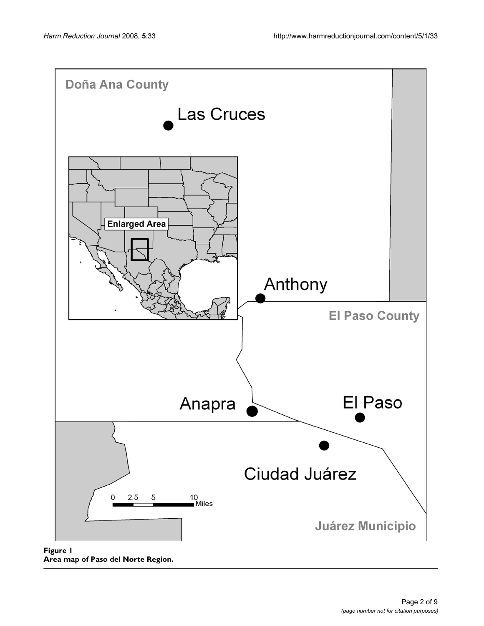

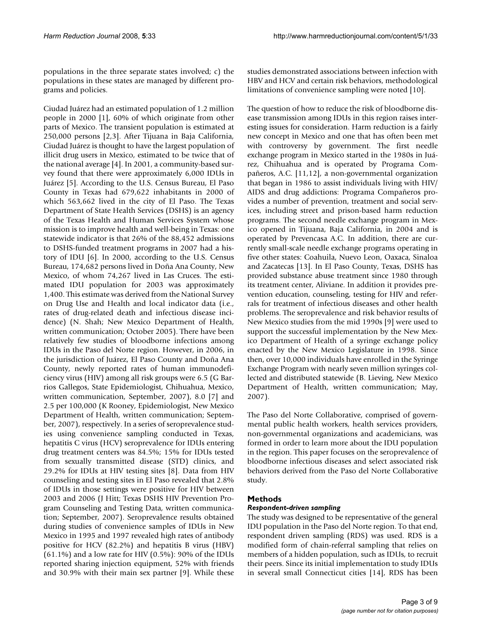populations in the three separate states involved; c) the populations in these states are managed by different programs and policies.

Ciudad Juárez had an estimated population of 1.2 million people in 2000 [1], 60% of which originate from other parts of Mexico. The transient population is estimated at 250,000 persons [2,3]. After Tijuana in Baja California, Ciudad Juárez is thought to have the largest population of illicit drug users in Mexico, estimated to be twice that of the national average [4]. In 2001, a community-based survey found that there were approximately 6,000 IDUs in Juárez [5]. According to the U.S. Census Bureau, El Paso County in Texas had 679,622 inhabitants in 2000 of which 563,662 lived in the city of El Paso. The Texas Department of State Health Services (DSHS) is an agency of the Texas Health and Human Services System whose mission is to improve health and well-being in Texas: one statewide indicator is that 26% of the 88,452 admissions to DSHS-funded treatment programs in 2007 had a history of IDU [6]. In 2000, according to the U.S. Census Bureau, 174,682 persons lived in Doña Ana County, New Mexico, of whom 74,267 lived in Las Cruces. The estimated IDU population for 2003 was approximately 1,400. This estimate was derived from the National Survey on Drug Use and Health and local indicator data (i.e., rates of drug-related death and infectious disease incidence) (N. Shah; New Mexico Department of Health, written communication; October 2005). There have been relatively few studies of bloodborne infections among IDUs in the Paso del Norte region. However, in 2006, in the jurisdiction of Juárez, El Paso County and Doña Ana County, newly reported rates of human immunodeficiency virus (HIV) among all risk groups were 6.5 (G Barrios Gallegos, State Epidemiologist, Chihuahua, Mexico, written communication, September, 2007), 8.0 [7] and 2.5 per 100,000 (K Rooney, Epidemiologist, New Mexico Department of Health, written communication; September, 2007), respectively. In a series of seroprevalence studies using convenience sampling conducted in Texas, hepatitis C virus (HCV) seroprevalence for IDUs entering drug treatment centers was 84.5%; 15% for IDUs tested from sexually transmitted disease (STD) clinics, and 29.2% for IDUs at HIV testing sites [8]. Data from HIV counseling and testing sites in El Paso revealed that 2.8% of IDUs in those settings were positive for HIV between 2003 and 2006 (J Hitt; Texas DSHS HIV Prevention Program Counseling and Testing Data, written communication; September, 2007). Seroprevalence results obtained during studies of convenience samples of IDUs in New Mexico in 1995 and 1997 revealed high rates of antibody positive for HCV (82.2%) and hepatitis B virus (HBV) (61.1%) and a low rate for HIV (0.5%): 90% of the IDUs reported sharing injection equipment, 52% with friends and 30.9% with their main sex partner [9]. While these

studies demonstrated associations between infection with HBV and HCV and certain risk behaviors, methodological limitations of convenience sampling were noted [10].

The question of how to reduce the risk of bloodborne disease transmission among IDUs in this region raises interesting issues for consideration. Harm reduction is a fairly new concept in Mexico and one that has often been met with controversy by government. The first needle exchange program in Mexico started in the 1980s in Juárez, Chihuahua and is operated by Programa Compañeros, A.C. [11,12], a non-governmental organization that began in 1986 to assist individuals living with HIV/ AIDS and drug addictions: Programa Compañeros provides a number of prevention, treatment and social services, including street and prison-based harm reduction programs. The second needle exchange program in Mexico opened in Tijuana, Baja California, in 2004 and is operated by Prevencasa A.C. In addition, there are currently small-scale needle exchange programs operating in five other states: Coahuila, Nuevo Leon, Oaxaca, Sinaloa and Zacatecas [13]. In El Paso County, Texas, DSHS has provided substance abuse treatment since 1980 through its treatment center, Aliviane. In addition it provides prevention education, counseling, testing for HIV and referrals for treatment of infectious diseases and other health problems. The seroprevalence and risk behavior results of New Mexico studies from the mid 1990s [9] were used to support the successful implementation by the New Mexico Department of Health of a syringe exchange policy enacted by the New Mexico Legislature in 1998. Since then, over 10,000 individuals have enrolled in the Syringe Exchange Program with nearly seven million syringes collected and distributed statewide (B. Lieving, New Mexico Department of Health, written communication; May, 2007).

The Paso del Norte Collaborative, comprised of governmental public health workers, health services providers, non-governmental organizations and academicians, was formed in order to learn more about the IDU population in the region. This paper focuses on the seroprevalence of bloodborne infectious diseases and select associated risk behaviors derived from the Paso del Norte Collaborative study.

# **Methods**

# *Respondent-driven sampling*

The study was designed to be representative of the general IDU population in the Paso del Norte region. To that end, respondent driven sampling (RDS) was used. RDS is a modified form of chain-referral sampling that relies on members of a hidden population, such as IDUs, to recruit their peers. Since its initial implementation to study IDUs in several small Connecticut cities [14], RDS has been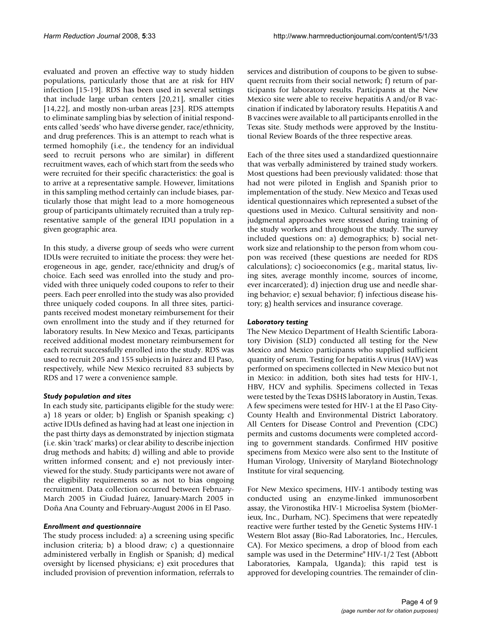evaluated and proven an effective way to study hidden populations, particularly those that are at risk for HIV infection [15-19]. RDS has been used in several settings that include large urban centers [20,21], smaller cities [14,22], and mostly non-urban areas [23]. RDS attempts to eliminate sampling bias by selection of initial respondents called 'seeds' who have diverse gender, race/ethnicity, and drug preferences. This is an attempt to reach what is termed homophily (i.e., the tendency for an individual seed to recruit persons who are similar) in different recruitment waves, each of which start from the seeds who were recruited for their specific characteristics: the goal is to arrive at a representative sample. However, limitations in this sampling method certainly can include biases, particularly those that might lead to a more homogeneous group of participants ultimately recruited than a truly representative sample of the general IDU population in a given geographic area.

In this study, a diverse group of seeds who were current IDUs were recruited to initiate the process: they were heterogeneous in age, gender, race/ethnicity and drug/s of choice. Each seed was enrolled into the study and provided with three uniquely coded coupons to refer to their peers. Each peer enrolled into the study was also provided three uniquely coded coupons. In all three sites, participants received modest monetary reimbursement for their own enrollment into the study and if they returned for laboratory results. In New Mexico and Texas, participants received additional modest monetary reimbursement for each recruit successfully enrolled into the study. RDS was used to recruit 205 and 155 subjects in Juárez and El Paso, respectively, while New Mexico recruited 83 subjects by RDS and 17 were a convenience sample.

# *Study population and sites*

In each study site, participants eligible for the study were: a) 18 years or older; b) English or Spanish speaking; c) active IDUs defined as having had at least one injection in the past thirty days as demonstrated by injection stigmata (i.e. skin 'track' marks) or clear ability to describe injection drug methods and habits; d) willing and able to provide written informed consent; and e) not previously interviewed for the study. Study participants were not aware of the eligibility requirements so as not to bias ongoing recruitment. Data collection occurred between February-March 2005 in Ciudad Juárez, January-March 2005 in Doña Ana County and February-August 2006 in El Paso.

#### *Enrollment and questionnaire*

The study process included: a) a screening using specific inclusion criteria; b) a blood draw; c) a questionnaire administered verbally in English or Spanish; d) medical oversight by licensed physicians; e) exit procedures that included provision of prevention information, referrals to

services and distribution of coupons to be given to subsequent recruits from their social network; f) return of participants for laboratory results. Participants at the New Mexico site were able to receive hepatitis A and/or B vaccination if indicated by laboratory results. Hepatitis A and B vaccines were available to all participants enrolled in the Texas site. Study methods were approved by the Institutional Review Boards of the three respective areas.

Each of the three sites used a standardized questionnaire that was verbally administered by trained study workers. Most questions had been previously validated: those that had not were piloted in English and Spanish prior to implementation of the study. New Mexico and Texas used identical questionnaires which represented a subset of the questions used in Mexico. Cultural sensitivity and nonjudgmental approaches were stressed during training of the study workers and throughout the study. The survey included questions on: a) demographics; b) social network size and relationship to the person from whom coupon was received (these questions are needed for RDS calculations); c) socioeconomics (e.g., marital status, living sites, average monthly income, sources of income, ever incarcerated); d) injection drug use and needle sharing behavior; e) sexual behavior; f) infectious disease history; g) health services and insurance coverage.

#### *Laboratory testing*

The New Mexico Department of Health Scientific Laboratory Division (SLD) conducted all testing for the New Mexico and Mexico participants who supplied sufficient quantity of serum. Testing for hepatitis A virus (HAV) was performed on specimens collected in New Mexico but not in Mexico: in addition, both sites had tests for HIV-1, HBV, HCV and syphilis. Specimens collected in Texas were tested by the Texas DSHS laboratory in Austin, Texas. A few specimens were tested for HIV-1 at the El Paso City-County Health and Environmental District Laboratory. All Centers for Disease Control and Prevention (CDC) permits and customs documents were completed according to government standards. Confirmed HIV positive specimens from Mexico were also sent to the Institute of Human Virology, University of Maryland Biotechnology Institute for viral sequencing.

For New Mexico specimens, HIV-1 antibody testing was conducted using an enzyme-linked immunosorbent assay, the Vironostika HIV-1 Microelisa System (bioMerieux, Inc., Durham, NC). Specimens that were repeatedly reactive were further tested by the Genetic Systems HIV-1 Western Blot assay (Bio-Rad Laboratories, Inc., Hercules, CA). For Mexico specimens, a drop of blood from each sample was used in the Determine® HIV-1/2 Test (Abbott Laboratories, Kampala, Uganda); this rapid test is approved for developing countries. The remainder of clin-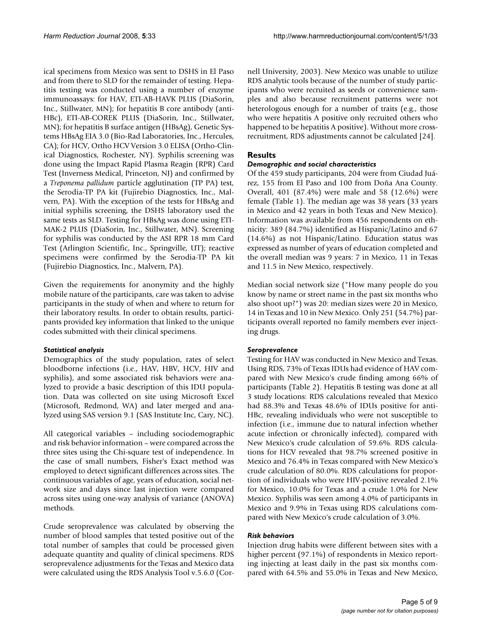ical specimens from Mexico was sent to DSHS in El Paso and from there to SLD for the remainder of testing. Hepatitis testing was conducted using a number of enzyme immunoassays: for HAV, ETI-AB-HAVK PLUS (DiaSorin, Inc., Stillwater, MN); for hepatitis B core antibody (anti-HBc), ETI-AB-COREK PLUS (DiaSorin, Inc., Stillwater, MN); for hepatitis B surface antigen (HBsAg), Genetic Systems HBsAg EIA 3.0 (Bio-Rad Laboratories, Inc., Hercules, CA); for HCV, Ortho HCV Version 3.0 ELISA (Ortho-Clinical Diagnostics, Rochester, NY). Syphilis screening was done using the Impact Rapid Plasma Reagin (RPR) Card Test (Inverness Medical, Princeton, NJ) and confirmed by a *Treponema pallidum* particle agglutination (TP PA) test, the Serodia-TP PA kit (Fujirebio Diagnostics, Inc., Malvern, PA). With the exception of the tests for HBsAg and initial syphilis screening, the DSHS laboratory used the same tests as SLD. Testing for HBsAg was done using ETI-MAK-2 PLUS (DiaSorin, Inc., Stillwater, MN). Screening for syphilis was conducted by the ASI RPR 18 mm Card Test (Arlington Scientific, Inc., Springville, UT); reactive specimens were confirmed by the Serodia-TP PA kit (Fujirebio Diagnostics, Inc., Malvern, PA).

Given the requirements for anonymity and the highly mobile nature of the participants, care was taken to advise participants in the study of when and where to return for their laboratory results. In order to obtain results, participants provided key information that linked to the unique codes submitted with their clinical specimens.

# *Statistical analysis*

Demographics of the study population, rates of select bloodborne infections (i.e., HAV, HBV, HCV, HIV and syphilis), and some associated risk behaviors were analyzed to provide a basic description of this IDU population. Data was collected on site using Microsoft Excel (Microsoft, Redmond, WA) and later merged and analyzed using SAS version 9.1 (SAS Institute Inc, Cary, NC).

All categorical variables – including sociodemographic and risk behavior information – were compared across the three sites using the Chi-square test of independence. In the case of small numbers, Fisher's Exact method was employed to detect significant differences across sites. The continuous variables of age, years of education, social network size and days since last injection were compared across sites using one-way analysis of variance (ANOVA) methods.

Crude seroprevalence was calculated by observing the number of blood samples that tested positive out of the total number of samples that could be processed given adequate quantity and quality of clinical specimens. RDS seroprevalence adjustments for the Texas and Mexico data were calculated using the RDS Analysis Tool v.5.6.0 (Cornell University, 2003). New Mexico was unable to utilize RDS analytic tools because of the number of study participants who were recruited as seeds or convenience samples and also because recruitment patterns were not heterologous enough for a number of traits (e.g., those who were hepatitis A positive only recruited others who happened to be hepatitis A positive). Without more crossrecruitment, RDS adjustments cannot be calculated [24].

# **Results**

#### *Demographic and social characteristics*

Of the 459 study participants, 204 were from Ciudad Juárez, 155 from El Paso and 100 from Doña Ana County. Overall, 401 (87.4%) were male and 58 (12.6%) were female (Table 1). The median age was 38 years (33 years in Mexico and 42 years in both Texas and New Mexico). Information was available from 456 respondents on ethnicity: 389 (84.7%) identified as Hispanic/Latino and 67 (14.6%) as not Hispanic/Latino. Education status was expressed as number of years of education completed and the overall median was 9 years: 7 in Mexico, 11 in Texas and 11.5 in New Mexico, respectively.

Median social network size ("How many people do you know by name or street name in the past six months who also shoot up?") was 20: median sizes were 20 in Mexico, 14 in Texas and 10 in New Mexico. Only 251 (54.7%) participants overall reported no family members ever injecting drugs.

# *Seroprevalence*

Testing for HAV was conducted in New Mexico and Texas. Using RDS, 73% of Texas IDUs had evidence of HAV compared with New Mexico's crude finding among 66% of participants (Table 2). Hepatitis B testing was done at all 3 study locations: RDS calculations revealed that Mexico had 88.3% and Texas 48.6% of IDUs positive for anti-HBc, revealing individuals who were not susceptible to infection (i.e., immune due to natural infection whether acute infection or chronically infected), compared with New Mexico's crude calculation of 59.6%. RDS calculations for HCV revealed that 98.7% screened positive in Mexico and 76.4% in Texas compared with New Mexico's crude calculation of 80.0%. RDS calculations for proportion of individuals who were HIV-positive revealed 2.1% for Mexico, 10.0% for Texas and a crude 1.0% for New Mexico. Syphilis was seen among 4.0% of participants in Mexico and 9.9% in Texas using RDS calculations compared with New Mexico's crude calculation of 3.0%.

#### *Risk behaviors*

Injection drug habits were different between sites with a higher percent (97.1%) of respondents in Mexico reporting injecting at least daily in the past six months compared with 64.5% and 55.0% in Texas and New Mexico,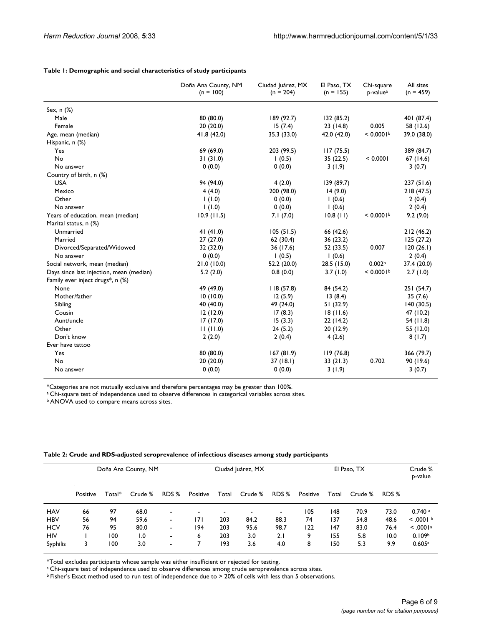#### **Table 1: Demographic and social characteristics of study participants**

|                                          | Doña Ana County, NM<br>$(n = 100)$ | Ciudad Juárez, MX<br>$(n = 204)$ | El Paso, TX<br>$(n = 155)$ | Chi-square<br>p-value <sup>a</sup> | All sites<br>$(n = 459)$ |
|------------------------------------------|------------------------------------|----------------------------------|----------------------------|------------------------------------|--------------------------|
| Sex, n (%)                               |                                    |                                  |                            |                                    |                          |
| Male                                     | 80 (80.0)                          | 189 (92.7)                       | 132(85.2)                  |                                    | 401 (87.4)               |
| Female                                   | 20(20.0)                           | 15(7.4)                          | 23(14.8)                   | 0.005                              | 58 (12.6)                |
| Age. mean (median)                       | 41.8 (42.0)                        | 35.3 (33.0)                      | 42.0 (42.0)                | < 0.0001 <sup>b</sup>              | 39.0 (38.0)              |
| Hispanic, n (%)                          |                                    |                                  |                            |                                    |                          |
| Yes                                      | 69 (69.0)                          | 203 (99.5)                       | 117(75.5)                  |                                    | 389 (84.7)               |
| No                                       | 31(31.0)                           | 1(0.5)                           | 35(22.5)                   | < 0.0001                           | 67(14.6)                 |
| No answer                                | 0(0.0)                             | 0(0.0)                           | 3(1.9)                     |                                    | 3(0.7)                   |
| Country of birth, n (%)                  |                                    |                                  |                            |                                    |                          |
| <b>USA</b>                               | 94 (94.0)                          | 4(2.0)                           | 139(89.7)                  |                                    | 237(51.6)                |
| Mexico                                   | 4(4.0)                             | 200 (98.0)                       | 14(9.0)                    |                                    | 218(47.5)                |
| Other                                    | (1.0)                              | 0(0.0)                           | (0.6)                      |                                    | 2(0.4)                   |
| No answer                                | (0.1)                              | 0(0.0)                           | (0.6)                      |                                    | 2(0.4)                   |
| Years of education, mean (median)        | 10.9(11.5)                         | 7.1(7.0)                         | $10.8$ (11)                | < 0.0001 <sup>b</sup>              | 9.2(9.0)                 |
| Marital status, n (%)                    |                                    |                                  |                            |                                    |                          |
| Unmarried                                | 41 $(41.0)$                        | 105(51.5)                        | 66 (42.6)                  |                                    | 212 (46.2)               |
| Married                                  | 27(27.0)                           | 62(30.4)                         | 36 (23.2)                  |                                    | 125(27.2)                |
| Divorced/Separated/Widowed               | 32 (32.0)                          | 36 (17.6)                        | 52 (33.5)                  | 0.007                              | 120(26.1)                |
| No answer                                | 0(0.0)                             | 1(0.5)                           | (0.6)                      |                                    | 2(0.4)                   |
| Social network, mean (median)            | 21.0(10.0)                         | 52.2 (20.0)                      | 28.5 (15.0)                | 0.002 <sup>b</sup>                 | 37.4 (20.0)              |
| Days since last injection, mean (median) | 5.2(2.0)                           | 0.8(0.0)                         | 3.7(1.0)                   | < 0.0001 <sup>b</sup>              | 2.7(1.0)                 |
| Family ever inject drugs*, n (%)         |                                    |                                  |                            |                                    |                          |
| None                                     | 49 (49.0)                          | 118(57.8)                        | 84 (54.2)                  |                                    | 251(54.7)                |
| Mother/father                            | 10(10.0)                           | 12(5.9)                          | 13(8.4)                    |                                    | 35(7.6)                  |
| Sibling                                  | 40 (40.0)                          | 49 (24.0)                        | 51 (32.9)                  |                                    | 140(30.5)                |
| Cousin                                   | 12 (12.0)                          | 17(8.3)                          | 18(11.6)                   |                                    | 47 (10.2)                |
| Aunt/uncle                               | 17 (17.0)                          | 15(3.3)                          | 22(14.2)                   |                                    | 54 (11.8)                |
| Other                                    | 11(11.0)                           | 24(5.2)                          | 20(12.9)                   |                                    | 55 (12.0)                |
| Don't know                               | 2(2.0)                             | 2(0.4)                           | 4(2.6)                     |                                    | 8(1.7)                   |
| Ever have tattoo                         |                                    |                                  |                            |                                    |                          |
| Yes                                      | 80 (80.0)                          | 167(81.9)                        | 119(76.8)                  |                                    | 366 (79.7)               |
| No                                       | 20 (20.0)                          | 37(18.1)                         | 33(21.3)                   | 0.702                              | 90 (19.6)                |
| No answer                                | 0(0.0)                             | 0(0.0)                           | 3(1.9)                     |                                    | 3(0.7)                   |

\*Categories are not mutually exclusive and therefore percentages may be greater than 100%.

a Chi-square test of independence used to observe differences in categorical variables across sites.

b ANOVA used to compare means across sites.

|            | Doña Ana County, NM |        |         | Ciudad Juárez, MX        |          |                          | El Paso, TX              |                          |          | Crude %<br>p-value |         |       |                      |
|------------|---------------------|--------|---------|--------------------------|----------|--------------------------|--------------------------|--------------------------|----------|--------------------|---------|-------|----------------------|
|            | Positive            | Total* | Crude % | RDS %                    | Positive | Total                    | Crude %                  | RDS %                    | Positive | Total              | Crude % | RDS % |                      |
| <b>HAV</b> | 66                  | 97     | 68.0    | $\overline{\phantom{a}}$ | $\,$     | $\overline{\phantom{a}}$ | $\overline{\phantom{a}}$ | $\overline{\phantom{0}}$ | 105      | 148                | 70.9    | 73.0  | $0.740$ <sup>a</sup> |
| <b>HBV</b> | 56                  | 94     | 59.6    | $\overline{\phantom{a}}$ | 171      | 203                      | 84.2                     | 88.3                     | 74       | 137                | 54.8    | 48.6  | < 0.001 h            |
| <b>HCV</b> | 76                  | 95     | 80.0    | $\overline{\phantom{0}}$ | 194      | 203                      | 95.6                     | 98.7                     | 122      | 147                | 83.0    | 76.4  | < .0001a             |
| HIV        |                     | 100    | 1.0     | $\overline{\phantom{a}}$ | 6        | 203                      | 3.0                      | 2.1                      | 9        | 155                | 5.8     | 10.0  | 0.109 <sup>b</sup>   |
| Syphilis   |                     | 100    | 3.0     | $\overline{\phantom{a}}$ |          | 193                      | 3.6                      | 4.0                      | 8        | 150                | 5.3     | 9.9   | 0.605a               |

#### **Table 2: Crude and RDS-adjusted seroprevalence of infectious diseases among study participants**

\*Total excludes participants whose sample was either insufficient or rejected for testing.

<sup>a</sup> Chi-square test of independence used to observe differences among crude seroprevalence across sites.

b Fisher's Exact method used to run test of independence due to > 20% of cells with less than 5 observations.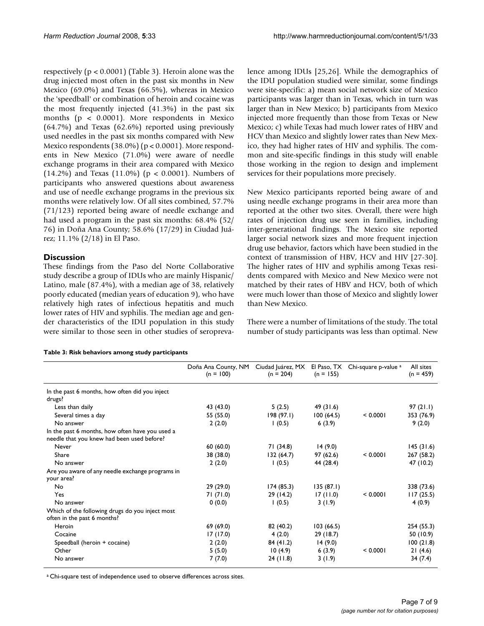respectively (p < 0.0001) (Table 3). Heroin alone was the drug injected most often in the past six months in New Mexico (69.0%) and Texas (66.5%), whereas in Mexico the 'speedball' or combination of heroin and cocaine was the most frequently injected (41.3%) in the past six months (p < 0.0001). More respondents in Mexico (64.7%) and Texas (62.6%) reported using previously used needles in the past six months compared with New Mexico respondents  $(38.0\%)$  (p < 0.0001). More respondents in New Mexico (71.0%) were aware of needle exchange programs in their area compared with Mexico (14.2%) and Texas (11.0%) (p < 0.0001). Numbers of participants who answered questions about awareness and use of needle exchange programs in the previous six months were relatively low. Of all sites combined, 57.7% (71/123) reported being aware of needle exchange and had used a program in the past six months: 68.4% (52/ 76) in Doña Ana County; 58.6% (17/29) in Ciudad Juárez; 11.1% (2/18) in El Paso.

# **Discussion**

These findings from the Paso del Norte Collaborative study describe a group of IDUs who are mainly Hispanic/ Latino, male (87.4%), with a median age of 38, relatively poorly educated (median years of education 9), who have relatively high rates of infectious hepatitis and much lower rates of HIV and syphilis. The median age and gender characteristics of the IDU population in this study were similar to those seen in other studies of seroprevalence among IDUs [25,26]. While the demographics of the IDU population studied were similar, some findings were site-specific: a) mean social network size of Mexico participants was larger than in Texas, which in turn was larger than in New Mexico; b) participants from Mexico injected more frequently than those from Texas or New Mexico; c) while Texas had much lower rates of HBV and HCV than Mexico and slightly lower rates than New Mexico, they had higher rates of HIV and syphilis. The common and site-specific findings in this study will enable those working in the region to design and implement services for their populations more precisely.

New Mexico participants reported being aware of and using needle exchange programs in their area more than reported at the other two sites. Overall, there were high rates of injection drug use seen in families, including inter-generational findings. The Mexico site reported larger social network sizes and more frequent injection drug use behavior, factors which have been studied in the context of transmission of HBV, HCV and HIV [27-30]. The higher rates of HIV and syphilis among Texas residents compared with Mexico and New Mexico were not matched by their rates of HBV and HCV, both of which were much lower than those of Mexico and slightly lower than New Mexico.

There were a number of limitations of the study. The total number of study participants was less than optimal. New

|                                                                                               | Doña Ana County, NM<br>$(n = 100)$ | Ciudad Juárez, MX<br>$(n = 204)$ | El Paso, TX<br>$(n = 155)$ | Chi-square p-value <sup>a</sup> | All sites<br>$(n = 459)$ |
|-----------------------------------------------------------------------------------------------|------------------------------------|----------------------------------|----------------------------|---------------------------------|--------------------------|
| In the past 6 months, how often did you inject<br>drugs?                                      |                                    |                                  |                            |                                 |                          |
| Less than daily                                                                               | 43 (43.0)                          | 5(2.5)                           | 49 (31.6)                  |                                 | 97(21.1)                 |
| Several times a day                                                                           | 55 (55.0)                          | 198(97.1)                        | 100(64.5)                  | < 0.0001                        | 353 (76.9)               |
| No answer                                                                                     | 2(2.0)                             | 1(0.5)                           | 6(3.9)                     |                                 | 9(2.0)                   |
| In the past 6 months, how often have you used a<br>needle that you knew had been used before? |                                    |                                  |                            |                                 |                          |
| Never                                                                                         | 60(60.0)                           | 71 (34.8)                        | 14(9.0)                    |                                 | 145(31.6)                |
| Share                                                                                         | 38 (38.0)                          | 132 (64.7)                       | 97(62.6)                   | < 0.0001                        | 267 (58.2)               |
| No answer                                                                                     | 2(2.0)                             | 1(0.5)                           | 44 (28.4)                  |                                 | 47 (10.2)                |
| Are you aware of any needle exchange programs in<br>your area?                                |                                    |                                  |                            |                                 |                          |
| No                                                                                            | 29(29.0)                           | 174(85.3)                        | 135(87.1)                  |                                 | 338 (73.6)               |
| Yes                                                                                           | 71(71.0)                           | 29 (14.2)                        | 17(11.0)                   | < 0.0001                        | 117(25.5)                |
| No answer                                                                                     | 0(0.0)                             | (0.5)                            | 3(1.9)                     |                                 | 4(0.9)                   |
| Which of the following drugs do you inject most<br>often in the past 6 months?                |                                    |                                  |                            |                                 |                          |
| Heroin                                                                                        | 69 (69.0)                          | 82 (40.2)                        | 103(66.5)                  |                                 | 254 (55.3)               |
| Cocaine                                                                                       | 17 (17.0)                          | 4(2.0)                           | 29(18.7)                   |                                 | 50 (10.9)                |
| Speedball (heroin + cocaine)                                                                  | 2(2.0)                             | 84 (41.2)                        | 14(9.0)                    |                                 | 100(21.8)                |
| Other                                                                                         | 5(5.0)                             | 10(4.9)                          | 6(3.9)                     | < 0.0001                        | 21(4.6)                  |
| No answer                                                                                     | 7(7.0)                             | 24(11.8)                         | 3(1.9)                     |                                 | 34 (7.4)                 |

#### **Table 3: Risk behaviors among study participants**

a Chi-square test of independence used to observe differences across sites.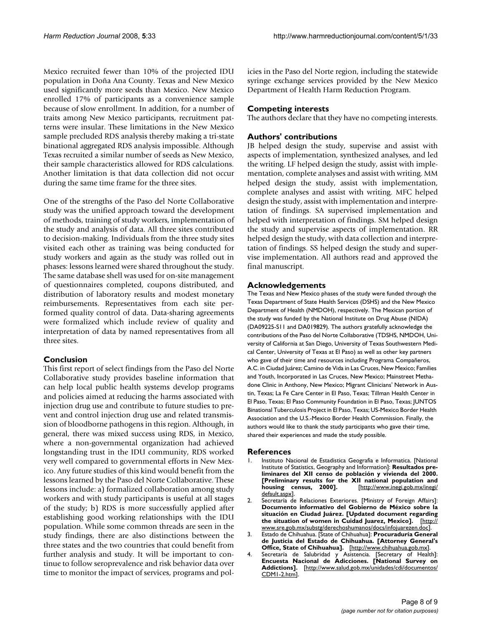Mexico recruited fewer than 10% of the projected IDU population in Doña Ana County. Texas and New Mexico used significantly more seeds than Mexico. New Mexico enrolled 17% of participants as a convenience sample because of slow enrollment. In addition, for a number of traits among New Mexico participants, recruitment patterns were insular. These limitations in the New Mexico sample precluded RDS analysis thereby making a tri-state binational aggregated RDS analysis impossible. Although Texas recruited a similar number of seeds as New Mexico, their sample characteristics allowed for RDS calculations. Another limitation is that data collection did not occur during the same time frame for the three sites.

One of the strengths of the Paso del Norte Collaborative study was the unified approach toward the development of methods, training of study workers, implementation of the study and analysis of data. All three sites contributed to decision-making. Individuals from the three study sites visited each other as training was being conducted for study workers and again as the study was rolled out in phases: lessons learned were shared throughout the study. The same database shell was used for on-site management of questionnaires completed, coupons distributed, and distribution of laboratory results and modest monetary reimbursements. Representatives from each site performed quality control of data. Data-sharing agreements were formalized which include review of quality and interpretation of data by named representatives from all three sites.

# **Conclusion**

This first report of select findings from the Paso del Norte Collaborative study provides baseline information that can help local public health systems develop programs and policies aimed at reducing the harms associated with injection drug use and contribute to future studies to prevent and control injection drug use and related transmission of bloodborne pathogens in this region. Although, in general, there was mixed success using RDS, in Mexico, where a non-governmental organization had achieved longstanding trust in the IDU community, RDS worked very well compared to governmental efforts in New Mexico. Any future studies of this kind would benefit from the lessons learned by the Paso del Norte Collaborative. These lessons include: a) formalized collaboration among study workers and with study participants is useful at all stages of the study; b) RDS is more successfully applied after establishing good working relationships with the IDU population. While some common threads are seen in the study findings, there are also distinctions between the three states and the two countries that could benefit from further analysis and study. It will be important to continue to follow seroprevalence and risk behavior data over time to monitor the impact of services, programs and policies in the Paso del Norte region, including the statewide syringe exchange services provided by the New Mexico Department of Health Harm Reduction Program.

# **Competing interests**

The authors declare that they have no competing interests.

# **Authors' contributions**

JB helped design the study, supervise and assist with aspects of implementation, synthesized analyses, and led the writing. LF helped design the study, assist with implementation, complete analyses and assist with writing. MM helped design the study, assist with implementation, complete analyses and assist with writing. MFC helped design the study, assist with implementation and interpretation of findings. SA supervised implementation and helped with interpretation of findings. SM helped design the study and supervise aspects of implementation. RR helped design the study, with data collection and interpretation of findings. SS helped design the study and supervise implementation. All authors read and approved the final manuscript.

#### **Acknowledgements**

The Texas and New Mexico phases of the study were funded through the Texas Department of State Health Services (DSHS) and the New Mexico Department of Health (NMDOH), respectively. The Mexican portion of the study was funded by the National Institute on Drug Abuse (NIDA) (DA09225-S11 and DA019829). The authors gratefully acknowledge the contributions of the Paso del Norte Collaborative (TDSHS, NMDOH, University of California at San Diego, University of Texas Southwestern Medical Center, University of Texas at El Paso) as well as other key partners who gave of their time and resources including Programa Compañeros, A.C. in Ciudad Juárez; Camino de Vida in Las Cruces, New Mexico; Families and Youth, Incorporated in Las Cruces, New Mexico; Mainstreet Methadone Clinic in Anthony, New Mexico; Migrant Clinicians' Network in Austin, Texas; La Fe Care Center in El Paso, Texas; Tillman Health Center in El Paso, Texas; El Paso Community Foundation in El Paso, Texas; JUNTOS Binational Tuberculosis Project in El Paso, Texas; US-Mexico Border Health Association and the U.S.-Mexico Border Health Commission. Finally, the authors would like to thank the study participants who gave their time, shared their experiences and made the study possible.

#### **References**

- 1. Instituto Nacional de Estadistica Geografia e Informatica. [National Institute of Statistics, Geography and Information]: **Resultados preliminares del XII censo de población y vivienda del 2000. [Preliminary results for the XII national population and** housing census, 2000]. [default.aspx](http://www.inegi.gob.mx/inegi/default.aspx)].
- 2. Secretaría de Relaciones Exteriores. [Ministry of Foreign Affairs]: **Documento informativo del Gobierno de México sobre la situación en Ciudad Juárez. [Updated document regarding the situation of women in Cuidad Juarez, Mexico].** [\[http://](http://www.sre.gob.mx/substg/derechoshumanos/docs/infojuarezen.doc) [www.sre.gob.mx/substg/derechoshumanos/docs/infojuarezen.doc](http://www.sre.gob.mx/substg/derechoshumanos/docs/infojuarezen.doc)].
- 3. Estado de Chihuahua. [State of Chihuahua]: **Procuraduría General de Justicia del Estado de Chihuahua. [Attorney General's Office, State of Chihuahua].** [[http://www.chihuahua.gob.mx\]](http://www.chihuahua.gob.mx)
- 4. Secretaría de Salubridad y Asistencia. [Secretary of Health]: **Encuesta Nacional de Adicciones. [National Survey on Addictions].** [[http://www.salud.gob.mx/unidades/cdi/documentos/](http://www.salud.gob.mx/unidades/cdi/documentos/CDM1-2.htm) [CDM1-2.htm](http://www.salud.gob.mx/unidades/cdi/documentos/CDM1-2.htm)].